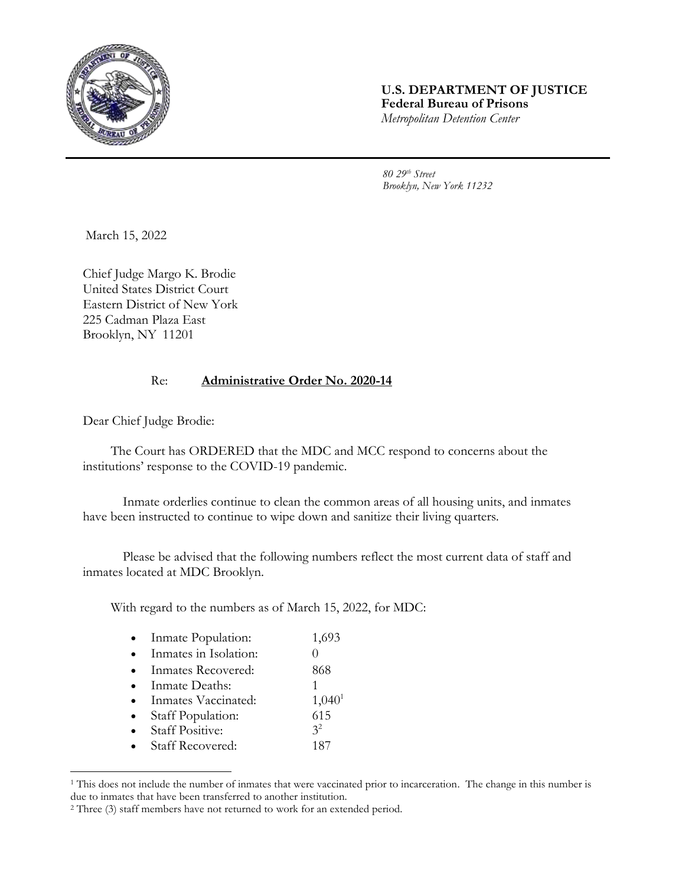

## **U.S. DEPARTMENT OF JUSTICE Federal Bureau of Prisons** *Metropolitan Detention Center*

*80 29th Street Brooklyn, New York 11232*

March 15, 2022

Chief Judge Margo K. Brodie United States District Court Eastern District of New York 225 Cadman Plaza East Brooklyn, NY 11201

## Re: **Administrative Order No. 2020-14**

Dear Chief Judge Brodie:

l

The Court has ORDERED that the MDC and MCC respond to concerns about the institutions' response to the COVID-19 pandemic.

Inmate orderlies continue to clean the common areas of all housing units, and inmates have been instructed to continue to wipe down and sanitize their living quarters.

Please be advised that the following numbers reflect the most current data of staff and inmates located at MDC Brooklyn.

With regard to the numbers as of March 15, 2022, for MDC:

| Inmate Population:      | 1,693          |
|-------------------------|----------------|
| Inmates in Isolation:   |                |
| Inmates Recovered:      | 868            |
| Inmate Deaths:          |                |
| Inmates Vaccinated:     | $1,040^1$      |
| Staff Population:       | 615            |
| <b>Staff Positive:</b>  | 3 <sup>2</sup> |
| <b>Staff Recovered:</b> | 187            |
|                         |                |

<sup>&</sup>lt;sup>1</sup> This does not include the number of inmates that were vaccinated prior to incarceration. The change in this number is due to inmates that have been transferred to another institution.

<sup>2</sup> Three (3) staff members have not returned to work for an extended period.